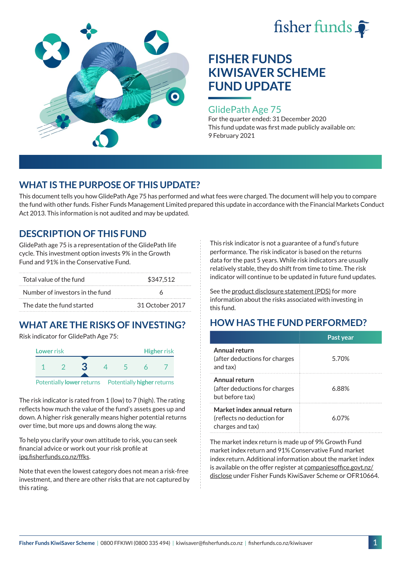



## GlidePath Age 75

For the quarter ended: 31 December 2020 This fund update was first made publicly available on: 9 February 2021

# **WHAT IS THE PURPOSE OF THIS UPDATE?**

This document tells you how GlidePath Age 75 has performed and what fees were charged. The document will help you to compare the fund with other funds. Fisher Funds Management Limited prepared this update in accordance with the Financial Markets Conduct Act 2013. This information is not audited and may be updated.

# **DESCRIPTION OF THIS FUND**

GlidePath age 75 is a representation of the GlidePath life cycle. This investment option invests 9% in the Growth Fund and 91% in the Conservative Fund.

| Total value of the fund         | \$347.512       |
|---------------------------------|-----------------|
| Number of investors in the fund |                 |
| The date the fund started       | 31 October 2017 |

# **WHAT ARE THE RISKS OF INVESTING?**

Risk indicator for GlidePath Age 75:



Potentially **lower** returns Potentially **higher** returns

The risk indicator is rated from 1 (low) to 7 (high). The rating reflects how much the value of the fund's assets goes up and down. A higher risk generally means higher potential returns over time, but more ups and downs along the way.

To help you clarify your own attitude to risk, you can seek financial advice or work out your risk profile at [ipq.fisherfunds.co.nz/ffks](https://ipq.fisherfunds.co.nz/ffks).

Note that even the lowest category does not mean a risk-free investment, and there are other risks that are not captured by this rating.

This risk indicator is not a guarantee of a fund's future performance. The risk indicator is based on the returns data for the past 5 years. While risk indicators are usually relatively stable, they do shift from time to time. The risk indicator will continue to be updated in future fund updates.

See the [product disclosure statement \(PDS\)](https://fisherfunds.co.nz/assets/PDS/Fisher-Funds-KiwiSaver-Scheme-PDS.pdf) for more information about the risks associated with investing in this fund.

# **HOW HAS THE FUND PERFORMED?**

|                                                                              | Past year |
|------------------------------------------------------------------------------|-----------|
| Annual return<br>(after deductions for charges<br>and tax)                   | 5.70%     |
| Annual return<br>(after deductions for charges<br>but before tax)            | 6.88%     |
| Market index annual return<br>(reflects no deduction for<br>charges and tax) | 6.07%     |

The market index return is made up of 9% Growth Fund market index return and 91% Conservative Fund market index return. Additional information about the market index is available on the offer register at [companiesoffice.govt.nz/](http://companiesoffice.govt.nz/disclose) [disclose](http://companiesoffice.govt.nz/disclose) under Fisher Funds KiwiSaver Scheme or OFR10664.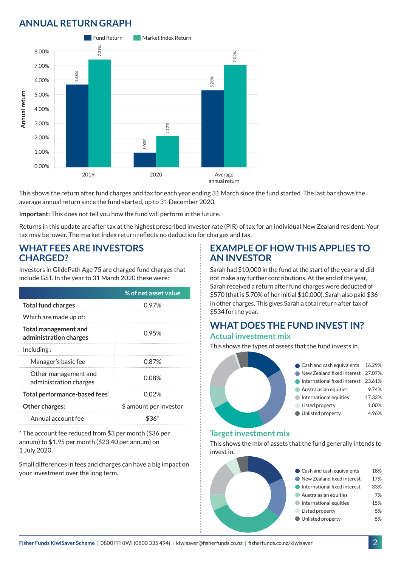# **ANNUAL RETURN GRAPH**



This shows the return after fund charges and tax for each year ending 31 March since the fund started. The last bar shows the average annual return since the fund started, up to 31 December 2020.

**Important:** This does not tell you how the fund will perform in the future.

Returns in this update are after tax at the highest prescribed investor rate (PIR) of tax for an individual New Zealand resident. Your tax may be lower. The market index return reflects no deduction for charges and tax.

## **WHAT FEES ARE INVESTORS CHARGED?**

Investors in GlidePath Age 75 are charged fund charges that include GST. In the year to 31 March 2020 these were:

|                                                | % of net asset value   |  |
|------------------------------------------------|------------------------|--|
| <b>Total fund charges</b>                      | 0.97%                  |  |
| Which are made up of:                          |                        |  |
| Total management and<br>administration charges | 0.95%                  |  |
| Including:                                     |                        |  |
| Manager's basic fee                            | 0.87%                  |  |
| Other management and<br>administration charges | 0.08%                  |  |
| Total performance-based fees <sup>1</sup>      | 0.02%                  |  |
| <b>Other charges:</b>                          | \$ amount per investor |  |
| Annual account fee                             |                        |  |

\* The account fee reduced from \$3 per month (\$36 per annum) to \$1.95 per month (\$23.40 per annum) on 1 July 2020.

Small differences in fees and charges can have a big impact on your investment over the long term.

# **EXAMPLE OF HOW THIS APPLIES TO AN INVESTOR**

Sarah had \$10,000 in the fund at the start of the year and did not make any further contributions. At the end of the year, Sarah received a return after fund charges were deducted of \$570 (that is 5.70% of her initial \$10,000). Sarah also paid \$36 in other charges. This gives Sarah a total return after tax of \$534 for the year.

# **WHAT DOES THE FUND INVEST IN?**

# **Actual investment mix**

This shows the types of assets that the fund invests in.



#### **Target investment mix**

This shows the mix of assets that the fund generally intends to invest in.